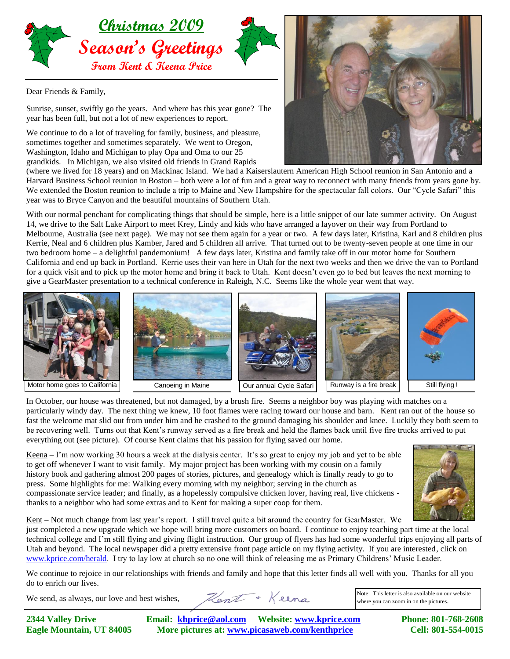

Dear Friends & Family,

Sunrise, sunset, swiftly go the years. And where has this year gone? The year has been full, but not a lot of new experiences to report.

We continue to do a lot of traveling for family, business, and pleasure, sometimes together and sometimes separately. We went to Oregon, Washington, Idaho and Michigan to play Opa and Oma to our 25 grandkids. In Michigan, we also visited old friends in Grand Rapids



(where we lived for 18 years) and on Mackinac Island. We had a Kaiserslautern American High School reunion in San Antonio and a Harvard Business School reunion in Boston – both were a lot of fun and a great way to reconnect with many friends from years gone by. We extended the Boston reunion to include a trip to Maine and New Hampshire for the spectacular fall colors. Our "Cycle Safari" this year was to Bryce Canyon and the beautiful mountains of Southern Utah.

With our normal penchant for complicating things that should be simple, here is a little snippet of our late summer activity. On August 14, we drive to the Salt Lake Airport to meet Krey, Lindy and kids who have arranged a layover on their way from Portland to Melbourne, Australia (see next page). We may not see them again for a year or two. A few days later, Kristina, Karl and 8 children plus Kerrie, Neal and 6 children plus Kamber, Jared and 5 children all arrive. That turned out to be twenty-seven people at one time in our two bedroom home – a delightful pandemonium! A few days later, Kristina and family take off in our motor home for Southern California and end up back in Portland. Kerrie uses their van here in Utah for the next two weeks and then we drive the van to Portland for a quick visit and to pick up the motor home and bring it back to Utah. Kent doesn't even go to bed but leaves the next morning to give a GearMaster presentation to a technical conference in Raleigh, N.C. Seems like the whole year went that way.



In October, our house was threatened, but not damaged, by a brush fire. Seems a neighbor boy was playing with matches on a particularly windy day. The next thing we knew, 10 foot flames were racing toward our house and barn. Kent ran out of the house so fast the welcome mat slid out from under him and he crashed to the ground damaging his shoulder and knee. Luckily they both seem to be recovering well. Turns out that Kent's runway served as a fire break and held the flames back until five fire trucks arrived to put everything out (see picture). Of course Kent claims that his passion for flying saved our home.

Keena – I'm now working 30 hours a week at the dialysis center. It's so great to enjoy my job and yet to be able to get off whenever I want to visit family. My major project has been working with my cousin on a family history book and gathering almost 200 pages of stories, pictures, and genealogy which is finally ready to go to press. Some highlights for me: Walking every morning with my neighbor; serving in the church as compassionate service leader; and finally, as a hopelessly compulsive chicken lover, having real, live chickens thanks to a neighbor who had some extras and to Kent for making a super coop for them.



Kent – Not much change from last year's report. I still travel quite a bit around the country for GearMaster. We just completed a new upgrade which we hope will bring more customers on board. I continue to enjoy teaching part time at the local technical college and I'm still flying and giving flight instruction. Our group of flyers has had some wonderful trips enjoying all parts of Utah and beyond. The local newspaper did a pretty extensive front page article on my flying activity. If you are interested, click on [www.kprice.com/herald.](http://www.kprice.com/herald) I try to lay low at church so no one will think of releasing me as Primary Childrens' Music Leader.

We continue to rejoice in our relationships with friends and family and hope that this letter finds all well with you. Thanks for all you do to enrich our lives.

We send, as always, our love and best wishes,

Hent + Keena

Note: This letter is also available on our website where you can zoom in on the pictures.

**2344 Valley Drive Email: [khprice@aol.com](mailto:khprice@aol.com) Website[: www.kprice.com](http://www.kprice.com/) Phone: 801-768-2608 Eagle Mountain, UT 84005 More pictures at: www.picasaweb.com/kenthprice Cell: 801-554-0015**